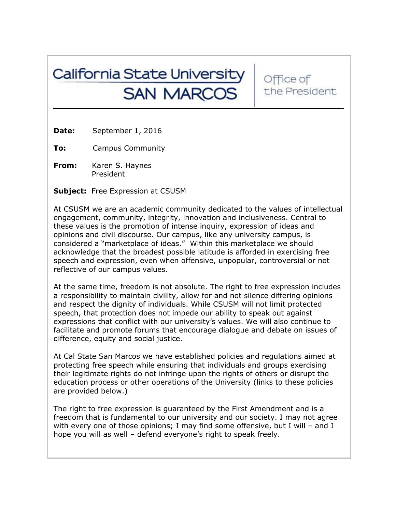## California State University **SAN MARCOS**

Office of the President

**Date:** September 1, 2016

**To:** Campus Community

**From:** Karen S. Haynes President

**Subject:** Free Expression at CSUSM

At CSUSM we are an academic community dedicated to the values of intellectual engagement, community, integrity, innovation and inclusiveness. Central to these values is the promotion of intense inquiry, expression of ideas and opinions and civil discourse. Our campus, like any university campus, is considered a "marketplace of ideas." Within this marketplace we should acknowledge that the broadest possible latitude is afforded in exercising free speech and expression, even when offensive, unpopular, controversial or not reflective of our campus values.

At the same time, freedom is not absolute. The right to free expression includes a responsibility to maintain civility, allow for and not silence differing opinions and respect the dignity of individuals. While CSUSM will not limit protected speech, that protection does not impede our ability to speak out against expressions that conflict with our university's values. We will also continue to facilitate and promote forums that encourage dialogue and debate on issues of difference, equity and social justice.

At Cal State San Marcos we have established policies and regulations aimed at protecting free speech while ensuring that individuals and groups exercising their legitimate rights do not infringe upon the rights of others or disrupt the education process or other operations of the University (links to these policies are provided below.)

The right to free expression is guaranteed by the First Amendment and is a freedom that is fundamental to our university and our society. I may not agree with every one of those opinions; I may find some offensive, but I will - and I hope you will as well – defend everyone's right to speak freely.